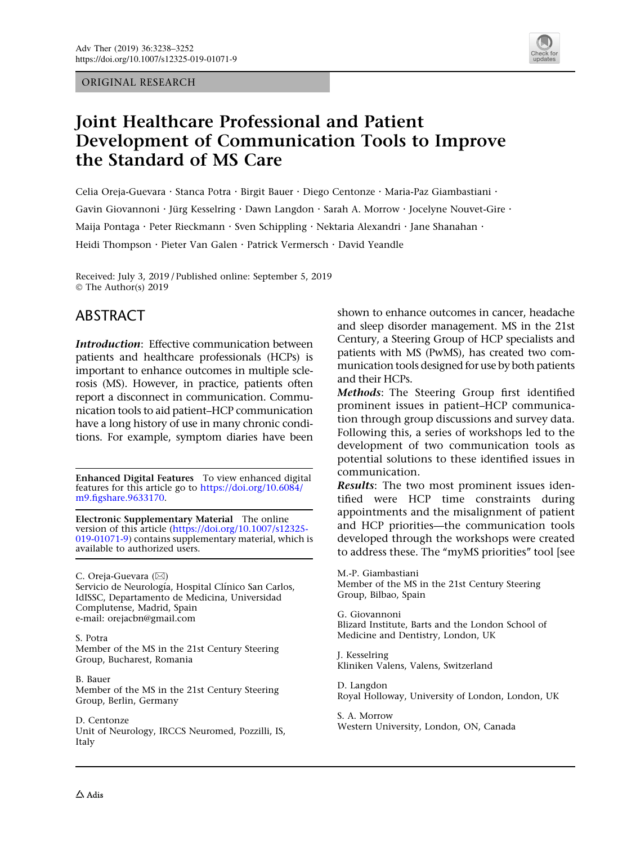ORIGINAL RESEARCH



# Joint Healthcare Professional and Patient Development of Communication Tools to Improve the Standard of MS Care

Celia Oreja-Guevara · Stanca Potra · Birgit Bauer · Diego Centonze · Maria-Paz Giambastiani · Gavin Giovannoni · Jürg Kesselring · Dawn Langdon · Sarah A. Morrow · Jocelyne Nouvet-Gire · Maija Pontaga · Peter Rieckmann · Sven Schippling · Nektaria Alexandri · Jane Shanahan · Heidi Thompson · Pieter Van Galen · Patrick Vermersch · David Yeandle

Received: July 3, 2019 / Published online: September 5, 2019  $\circ$  The Author(s) 2019

## ABSTRACT

**Introduction:** Effective communication between patients and healthcare professionals (HCPs) is important to enhance outcomes in multiple sclerosis (MS). However, in practice, patients often report a disconnect in communication. Communication tools to aid patient–HCP communication have a long history of use in many chronic conditions. For example, symptom diaries have been

Enhanced Digital Features To view enhanced digital features for this article go to [https://doi.org/10.6084/](https://doi.org/10.6084/m9.figshare.9633170) [m9.figshare.9633170.](https://doi.org/10.6084/m9.figshare.9633170)

Electronic Supplementary Material The online version of this article ([https://doi.org/10.1007/s12325-](https://doi.org/10.1007/s12325-019-01071-9) [019-01071-9\)](https://doi.org/10.1007/s12325-019-01071-9) contains supplementary material, which is available to authorized users.

C. Oreja-Guevara ( $\boxtimes$ ) Servicio de Neurología, Hospital Clínico San Carlos, IdISSC, Departamento de Medicina, Universidad Complutense, Madrid, Spain e-mail: orejacbn@gmail.com

S. Potra Member of the MS in the 21st Century Steering Group, Bucharest, Romania

B. Bauer Member of the MS in the 21st Century Steering Group, Berlin, Germany

D. Centonze Unit of Neurology, IRCCS Neuromed, Pozzilli, IS, Italy

shown to enhance outcomes in cancer, headache and sleep disorder management. MS in the 21st Century, a Steering Group of HCP specialists and patients with MS (PwMS), has created two communication tools designed for use by both patients and their HCPs.

Methods: The Steering Group first identified prominent issues in patient–HCP communication through group discussions and survey data. Following this, a series of workshops led to the development of two communication tools as potential solutions to these identified issues in communication.

Results: The two most prominent issues identified were HCP time constraints during appointments and the misalignment of patient and HCP priorities—the communication tools developed through the workshops were created to address these. The "myMS priorities" tool [see

M.-P. Giambastiani Member of the MS in the 21st Century Steering Group, Bilbao, Spain

G. Giovannoni Blizard Institute, Barts and the London School of Medicine and Dentistry, London, UK

J. Kesselring Kliniken Valens, Valens, Switzerland

D. Langdon Royal Holloway, University of London, London, UK

S. A. Morrow Western University, London, ON, Canada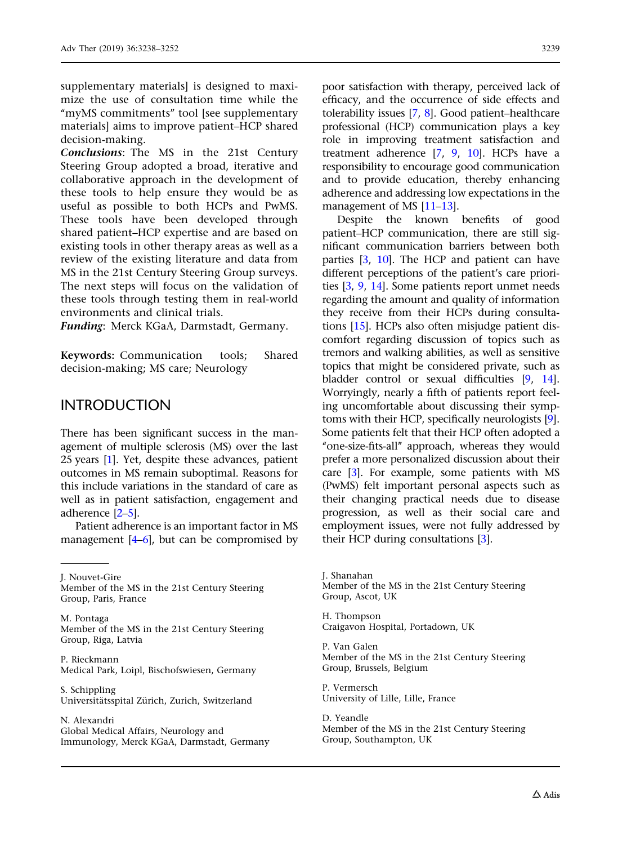supplementary materials] is designed to maximize the use of consultation time while the ''myMS commitments'' tool [see supplementary materials] aims to improve patient–HCP shared decision-making.

Conclusions: The MS in the 21st Century Steering Group adopted a broad, iterative and collaborative approach in the development of these tools to help ensure they would be as useful as possible to both HCPs and PwMS. These tools have been developed through shared patient–HCP expertise and are based on existing tools in other therapy areas as well as a review of the existing literature and data from MS in the 21st Century Steering Group surveys. The next steps will focus on the validation of these tools through testing them in real-world environments and clinical trials.

Funding: Merck KGaA, Darmstadt, Germany.

Keywords: Communication tools; Shared decision-making; MS care; Neurology

### INTRODUCTION

There has been significant success in the management of multiple sclerosis (MS) over the last 25 years [\[1](#page-12-0)]. Yet, despite these advances, patient outcomes in MS remain suboptimal. Reasons for this include variations in the standard of care as well as in patient satisfaction, engagement and adherence [\[2–](#page-12-0)[5](#page-13-0)].

Patient adherence is an important factor in MS management  $[4–6]$  $[4–6]$ , but can be compromised by

J. Nouvet-Gire Member of the MS in the 21st Century Steering Group, Paris, France

M. Pontaga Member of the MS in the 21st Century Steering Group, Riga, Latvia

P. Rieckmann Medical Park, Loipl, Bischofswiesen, Germany

S. Schippling Universitätsspital Zürich, Zurich, Switzerland

N. Alexandri Global Medical Affairs, Neurology and Immunology, Merck KGaA, Darmstadt, Germany poor satisfaction with therapy, perceived lack of efficacy, and the occurrence of side effects and tolerability issues [\[7](#page-13-0), [8\]](#page-13-0). Good patient–healthcare professional (HCP) communication plays a key role in improving treatment satisfaction and treatment adherence [\[7,](#page-13-0) [9](#page-13-0), [10\]](#page-13-0). HCPs have a responsibility to encourage good communication and to provide education, thereby enhancing adherence and addressing low expectations in the management of MS [11-13].

Despite the known benefits of good patient–HCP communication, there are still significant communication barriers between both parties [[3](#page-12-0), [10\]](#page-13-0). The HCP and patient can have different perceptions of the patient's care priorities [[3](#page-12-0), [9,](#page-13-0) [14](#page-13-0)]. Some patients report unmet needs regarding the amount and quality of information they receive from their HCPs during consultations [\[15](#page-13-0)]. HCPs also often misjudge patient discomfort regarding discussion of topics such as tremors and walking abilities, as well as sensitive topics that might be considered private, such as bladder control or sexual difficulties [\[9](#page-13-0), [14](#page-13-0)]. Worryingly, nearly a fifth of patients report feeling uncomfortable about discussing their symptoms with their HCP, specifically neurologists [\[9](#page-13-0)]. Some patients felt that their HCP often adopted a "one-size-fits-all" approach, whereas they would prefer a more personalized discussion about their care [\[3](#page-12-0)]. For example, some patients with MS (PwMS) felt important personal aspects such as their changing practical needs due to disease progression, as well as their social care and employment issues, were not fully addressed by their HCP during consultations [\[3\]](#page-12-0).

J. Shanahan Member of the MS in the 21st Century Steering Group, Ascot, UK

H. Thompson Craigavon Hospital, Portadown, UK

P. Van Galen Member of the MS in the 21st Century Steering Group, Brussels, Belgium

P. Vermersch University of Lille, Lille, France

D. Yeandle Member of the MS in the 21st Century Steering Group, Southampton, UK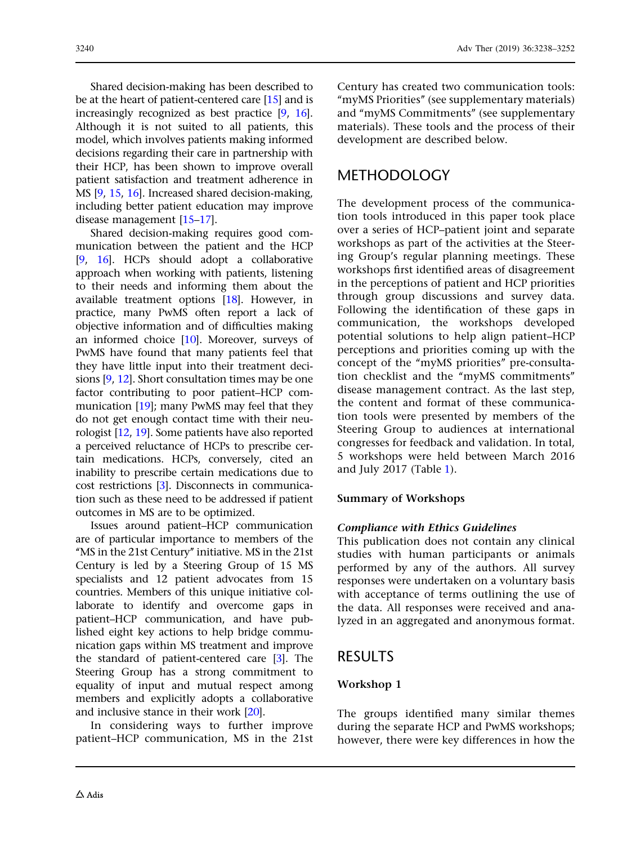Shared decision-making has been described to be at the heart of patient-centered care [\[15\]](#page-13-0) and is increasingly recognized as best practice [\[9,](#page-13-0) [16](#page-13-0)]. Although it is not suited to all patients, this model, which involves patients making informed decisions regarding their care in partnership with their HCP, has been shown to improve overall patient satisfaction and treatment adherence in MS [\[9,](#page-13-0) [15](#page-13-0), [16](#page-13-0)]. Increased shared decision-making, including better patient education may improve disease management [\[15–17\]](#page-13-0).

Shared decision-making requires good communication between the patient and the HCP [\[9,](#page-13-0) [16\]](#page-13-0). HCPs should adopt a collaborative approach when working with patients, listening to their needs and informing them about the available treatment options [\[18](#page-13-0)]. However, in practice, many PwMS often report a lack of objective information and of difficulties making an informed choice [[10\]](#page-13-0). Moreover, surveys of PwMS have found that many patients feel that they have little input into their treatment decisions [\[9,](#page-13-0) [12\]](#page-13-0). Short consultation times may be one factor contributing to poor patient–HCP communication [\[19\]](#page-13-0); many PwMS may feel that they do not get enough contact time with their neurologist [\[12](#page-13-0), [19\]](#page-13-0). Some patients have also reported a perceived reluctance of HCPs to prescribe certain medications. HCPs, conversely, cited an inability to prescribe certain medications due to cost restrictions [\[3\]](#page-12-0). Disconnects in communication such as these need to be addressed if patient outcomes in MS are to be optimized.

Issues around patient–HCP communication are of particular importance to members of the ''MS in the 21st Century'' initiative. MS in the 21st Century is led by a Steering Group of 15 MS specialists and 12 patient advocates from 15 countries. Members of this unique initiative collaborate to identify and overcome gaps in patient–HCP communication, and have published eight key actions to help bridge communication gaps within MS treatment and improve the standard of patient-centered care [[3](#page-12-0)]. The Steering Group has a strong commitment to equality of input and mutual respect among members and explicitly adopts a collaborative and inclusive stance in their work [[20\]](#page-13-0).

In considering ways to further improve patient–HCP communication, MS in the 21st Century has created two communication tools: ''myMS Priorities'' (see supplementary materials) and ''myMS Commitments'' (see supplementary materials). These tools and the process of their development are described below.

## **METHODOLOGY**

The development process of the communication tools introduced in this paper took place over a series of HCP–patient joint and separate workshops as part of the activities at the Steering Group's regular planning meetings. These workshops first identified areas of disagreement in the perceptions of patient and HCP priorities through group discussions and survey data. Following the identification of these gaps in communication, the workshops developed potential solutions to help align patient–HCP perceptions and priorities coming up with the concept of the ''myMS priorities'' pre-consultation checklist and the ''myMS commitments'' disease management contract. As the last step, the content and format of these communication tools were presented by members of the Steering Group to audiences at international congresses for feedback and validation. In total, 5 workshops were held between March 2016 and July 2017 (Table [1\)](#page-3-0).

### Summary of Workshops

### Compliance with Ethics Guidelines

This publication does not contain any clinical studies with human participants or animals performed by any of the authors. All survey responses were undertaken on a voluntary basis with acceptance of terms outlining the use of the data. All responses were received and analyzed in an aggregated and anonymous format.

## RESULTS

### Workshop 1

The groups identified many similar themes during the separate HCP and PwMS workshops; however, there were key differences in how the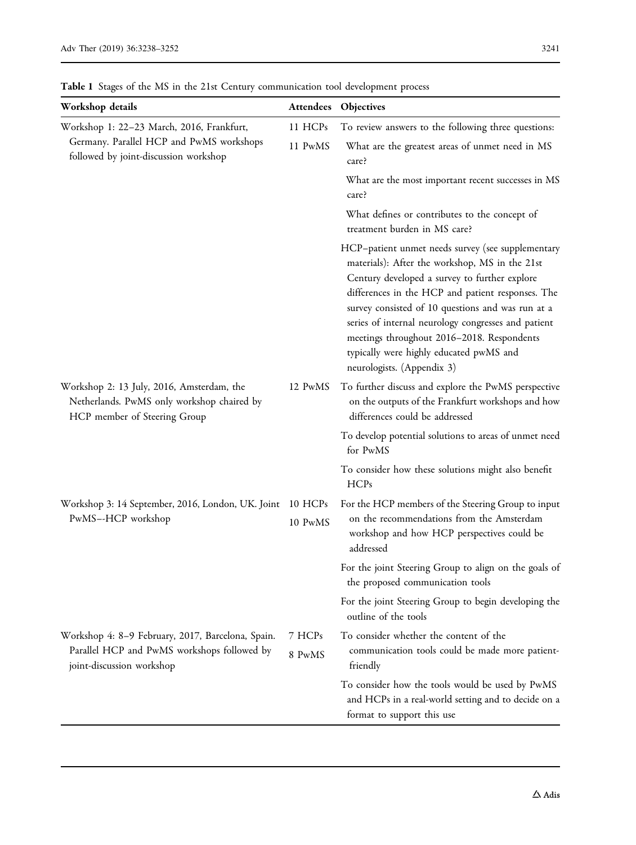| Workshop details                                                                                                        | Attendees          | <b>Objectives</b>                                                                                                                                                                                                                                                                                                                                                                                                                            |  |
|-------------------------------------------------------------------------------------------------------------------------|--------------------|----------------------------------------------------------------------------------------------------------------------------------------------------------------------------------------------------------------------------------------------------------------------------------------------------------------------------------------------------------------------------------------------------------------------------------------------|--|
| Workshop 1: 22-23 March, 2016, Frankfurt,                                                                               | 11 HCPs            | To review answers to the following three questions:                                                                                                                                                                                                                                                                                                                                                                                          |  |
| Germany. Parallel HCP and PwMS workshops<br>followed by joint-discussion workshop                                       | 11 PwMS            | What are the greatest areas of unmet need in MS<br>care?                                                                                                                                                                                                                                                                                                                                                                                     |  |
|                                                                                                                         |                    | What are the most important recent successes in MS<br>care?                                                                                                                                                                                                                                                                                                                                                                                  |  |
|                                                                                                                         |                    | What defines or contributes to the concept of<br>treatment burden in MS care?                                                                                                                                                                                                                                                                                                                                                                |  |
|                                                                                                                         |                    | HCP-patient unmet needs survey (see supplementary<br>materials): After the workshop, MS in the 21st<br>Century developed a survey to further explore<br>differences in the HCP and patient responses. The<br>survey consisted of 10 questions and was run at a<br>series of internal neurology congresses and patient<br>meetings throughout 2016-2018. Respondents<br>typically were highly educated pwMS and<br>neurologists. (Appendix 3) |  |
| Workshop 2: 13 July, 2016, Amsterdam, the<br>Netherlands. PwMS only workshop chaired by<br>HCP member of Steering Group | 12 PwMS            | To further discuss and explore the PwMS perspective<br>on the outputs of the Frankfurt workshops and how<br>differences could be addressed                                                                                                                                                                                                                                                                                                   |  |
|                                                                                                                         |                    | To develop potential solutions to areas of unmet need<br>for PwMS                                                                                                                                                                                                                                                                                                                                                                            |  |
|                                                                                                                         |                    | To consider how these solutions might also benefit<br><b>HCPs</b>                                                                                                                                                                                                                                                                                                                                                                            |  |
| Workshop 3: 14 September, 2016, London, UK. Joint<br>PwMS--HCP workshop                                                 | 10 HCPs<br>10 PwMS | For the HCP members of the Steering Group to input<br>on the recommendations from the Amsterdam<br>workshop and how HCP perspectives could be<br>addressed                                                                                                                                                                                                                                                                                   |  |
|                                                                                                                         |                    | For the joint Steering Group to align on the goals of<br>the proposed communication tools                                                                                                                                                                                                                                                                                                                                                    |  |
|                                                                                                                         |                    | For the joint Steering Group to begin developing the<br>outline of the tools                                                                                                                                                                                                                                                                                                                                                                 |  |
| Workshop 4: 8-9 February, 2017, Barcelona, Spain.                                                                       | 7 HCPs             | To consider whether the content of the                                                                                                                                                                                                                                                                                                                                                                                                       |  |
| Parallel HCP and PwMS workshops followed by<br>joint-discussion workshop                                                | 8 PwMS             | communication tools could be made more patient-<br>friendly                                                                                                                                                                                                                                                                                                                                                                                  |  |
|                                                                                                                         |                    | To consider how the tools would be used by PwMS<br>and HCPs in a real-world setting and to decide on a<br>format to support this use                                                                                                                                                                                                                                                                                                         |  |

<span id="page-3-0"></span>Table 1 Stages of the MS in the 21st Century communication tool development process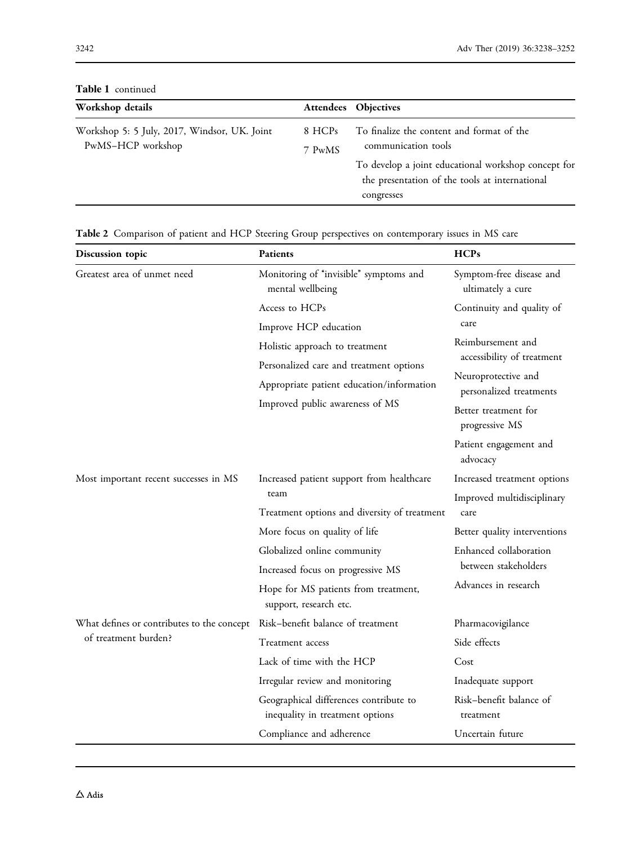| Workshop details                                                  |                  | Attendees Objectives                                                                                                                                                                    |
|-------------------------------------------------------------------|------------------|-----------------------------------------------------------------------------------------------------------------------------------------------------------------------------------------|
| Workshop 5: 5 July, 2017, Windsor, UK. Joint<br>PwMS-HCP workshop | 8 HCPs<br>7 PwMS | To finalize the content and format of the<br>communication tools<br>To develop a joint educational workshop concept for<br>the presentation of the tools at international<br>congresses |

### <span id="page-4-0"></span>Table 1 continued

| Discussion topic                                                                                     | <b>Patients</b>                                                           | <b>HCPs</b>                                                                                       |
|------------------------------------------------------------------------------------------------------|---------------------------------------------------------------------------|---------------------------------------------------------------------------------------------------|
| Greatest area of unmet need                                                                          | Monitoring of "invisible" symptoms and<br>mental wellbeing                | Symptom-free disease and<br>ultimately a cure                                                     |
|                                                                                                      | Access to HCPs                                                            | Continuity and quality of<br>care                                                                 |
|                                                                                                      | Improve HCP education                                                     |                                                                                                   |
|                                                                                                      | Holistic approach to treatment                                            | Reimbursement and<br>accessibility of treatment<br>Neuroprotective and<br>personalized treatments |
|                                                                                                      | Personalized care and treatment options                                   |                                                                                                   |
|                                                                                                      | Appropriate patient education/information                                 |                                                                                                   |
|                                                                                                      | Improved public awareness of MS                                           | Better treatment for<br>progressive MS                                                            |
|                                                                                                      |                                                                           | Patient engagement and<br>advocacy                                                                |
| Most important recent successes in MS                                                                | Increased patient support from healthcare                                 | Increased treatment options                                                                       |
|                                                                                                      | team                                                                      | Improved multidisciplinary                                                                        |
|                                                                                                      | Treatment options and diversity of treatment                              | care                                                                                              |
|                                                                                                      | More focus on quality of life                                             | Better quality interventions                                                                      |
|                                                                                                      | Globalized online community                                               | Enhanced collaboration<br>between stakeholders                                                    |
|                                                                                                      | Increased focus on progressive MS                                         |                                                                                                   |
|                                                                                                      | Hope for MS patients from treatment,<br>support, research etc.            | Advances in research                                                                              |
| What defines or contributes to the concept Risk-benefit balance of treatment<br>of treatment burden? |                                                                           | Pharmacovigilance                                                                                 |
|                                                                                                      | Treatment access                                                          | Side effects                                                                                      |
|                                                                                                      | Lack of time with the HCP                                                 | Cost                                                                                              |
|                                                                                                      | Irregular review and monitoring                                           | Inadequate support                                                                                |
|                                                                                                      | Geographical differences contribute to<br>inequality in treatment options | Risk-benefit balance of<br>treatment                                                              |
|                                                                                                      | Compliance and adherence                                                  | Uncertain future                                                                                  |

Table 2 Comparison of patient and HCP Steering Group perspectives on contemporary issues in MS care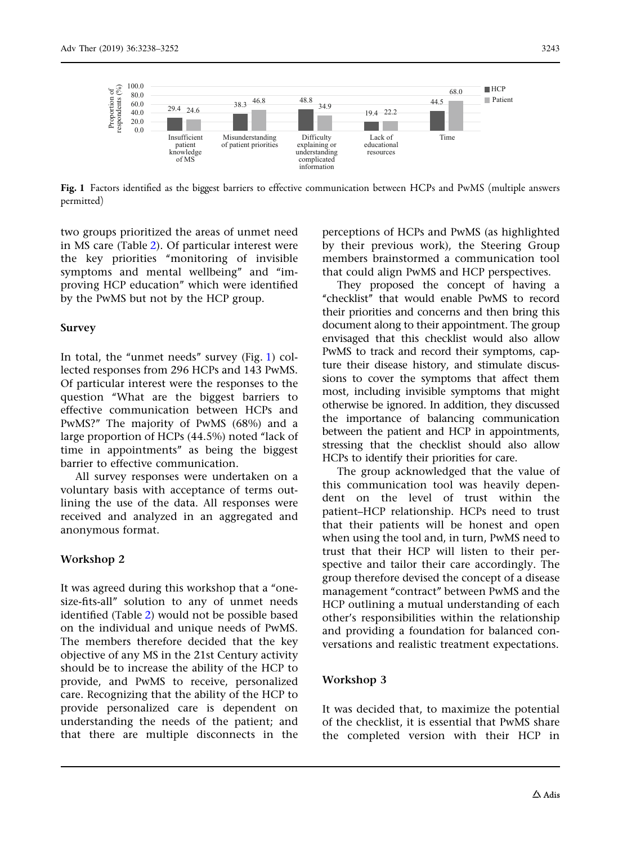

Fig. 1 Factors identified as the biggest barriers to effective communication between HCPs and PwMS (multiple answers permitted)

two groups prioritized the areas of unmet need in MS care (Table [2](#page-4-0)). Of particular interest were the key priorities ''monitoring of invisible symptoms and mental wellbeing'' and ''improving HCP education'' which were identified by the PwMS but not by the HCP group.

#### Survey

In total, the "unmet needs" survey (Fig. 1) collected responses from 296 HCPs and 143 PwMS. Of particular interest were the responses to the question ''What are the biggest barriers to effective communication between HCPs and PwMS?'' The majority of PwMS (68%) and a large proportion of HCPs (44.5%) noted ''lack of time in appointments'' as being the biggest barrier to effective communication.

All survey responses were undertaken on a voluntary basis with acceptance of terms outlining the use of the data. All responses were received and analyzed in an aggregated and anonymous format.

#### Workshop 2

It was agreed during this workshop that a "onesize-fits-all'' solution to any of unmet needs identified (Table [2](#page-4-0)) would not be possible based on the individual and unique needs of PwMS. The members therefore decided that the key objective of any MS in the 21st Century activity should be to increase the ability of the HCP to provide, and PwMS to receive, personalized care. Recognizing that the ability of the HCP to provide personalized care is dependent on understanding the needs of the patient; and that there are multiple disconnects in the

perceptions of HCPs and PwMS (as highlighted by their previous work), the Steering Group members brainstormed a communication tool that could align PwMS and HCP perspectives.

They proposed the concept of having a "checklist" that would enable PwMS to record their priorities and concerns and then bring this document along to their appointment. The group envisaged that this checklist would also allow PwMS to track and record their symptoms, capture their disease history, and stimulate discussions to cover the symptoms that affect them most, including invisible symptoms that might otherwise be ignored. In addition, they discussed the importance of balancing communication between the patient and HCP in appointments, stressing that the checklist should also allow HCPs to identify their priorities for care.

The group acknowledged that the value of this communication tool was heavily dependent on the level of trust within the patient–HCP relationship. HCPs need to trust that their patients will be honest and open when using the tool and, in turn, PwMS need to trust that their HCP will listen to their perspective and tailor their care accordingly. The group therefore devised the concept of a disease management "contract" between PwMS and the HCP outlining a mutual understanding of each other's responsibilities within the relationship and providing a foundation for balanced conversations and realistic treatment expectations.

#### Workshop 3

It was decided that, to maximize the potential of the checklist, it is essential that PwMS share the completed version with their HCP in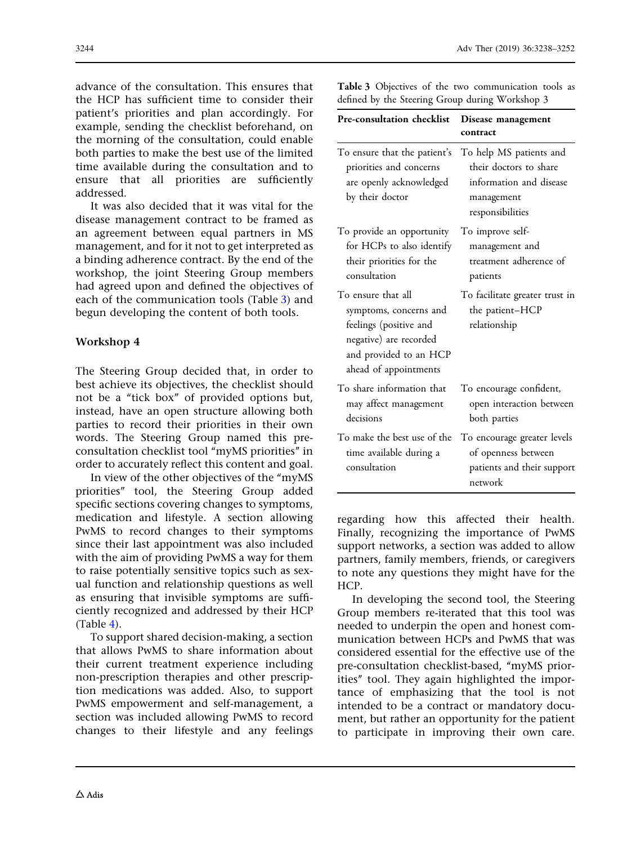advance of the consultation. This ensures that the HCP has sufficient time to consider their patient's priorities and plan accordingly. For example, sending the checklist beforehand, on the morning of the consultation, could enable both parties to make the best use of the limited time available during the consultation and to ensure that all priorities are sufficiently addressed.

It was also decided that it was vital for the disease management contract to be framed as an agreement between equal partners in MS management, and for it not to get interpreted as a binding adherence contract. By the end of the workshop, the joint Steering Group members had agreed upon and defined the objectives of each of the communication tools (Table 3) and begun developing the content of both tools.

#### Workshop 4

The Steering Group decided that, in order to best achieve its objectives, the checklist should not be a ''tick box'' of provided options but, instead, have an open structure allowing both parties to record their priorities in their own words. The Steering Group named this preconsultation checklist tool ''myMS priorities'' in order to accurately reflect this content and goal.

In view of the other objectives of the ''myMS priorities'' tool, the Steering Group added specific sections covering changes to symptoms, medication and lifestyle. A section allowing PwMS to record changes to their symptoms since their last appointment was also included with the aim of providing PwMS a way for them to raise potentially sensitive topics such as sexual function and relationship questions as well as ensuring that invisible symptoms are sufficiently recognized and addressed by their HCP (Table [4\)](#page-7-0).

To support shared decision-making, a section that allows PwMS to share information about their current treatment experience including non-prescription therapies and other prescription medications was added. Also, to support PwMS empowerment and self-management, a section was included allowing PwMS to record changes to their lifestyle and any feelings

Table 3 Objectives of the two communication tools as defined by the Steering Group during Workshop 3

| Pre-consultation checklist                                                                                                                          | Disease management<br>contract                                                                                 |  |
|-----------------------------------------------------------------------------------------------------------------------------------------------------|----------------------------------------------------------------------------------------------------------------|--|
| To ensure that the patient's<br>priorities and concerns<br>are openly acknowledged<br>by their doctor                                               | To help MS patients and<br>their doctors to share<br>information and disease<br>management<br>responsibilities |  |
| To provide an opportunity<br>for HCPs to also identify<br>their priorities for the<br>consultation                                                  | To improve self-<br>management and<br>treatment adherence of<br>patients                                       |  |
| To ensure that all<br>symptoms, concerns and<br>feelings (positive and<br>negative) are recorded<br>and provided to an HCP<br>ahead of appointments | To facilitate greater trust in<br>the patient-HCP<br>relationship                                              |  |
| To share information that<br>may affect management<br>decisions                                                                                     | To encourage confident,<br>open interaction between<br>both parties                                            |  |
| To make the best use of the<br>time available during a<br>consultation                                                                              | To encourage greater levels<br>of openness between<br>patients and their support<br>network                    |  |

regarding how this affected their health. Finally, recognizing the importance of PwMS support networks, a section was added to allow partners, family members, friends, or caregivers to note any questions they might have for the HCP.

In developing the second tool, the Steering Group members re-iterated that this tool was needed to underpin the open and honest communication between HCPs and PwMS that was considered essential for the effective use of the pre-consultation checklist-based, ''myMS priorities'' tool. They again highlighted the importance of emphasizing that the tool is not intended to be a contract or mandatory document, but rather an opportunity for the patient to participate in improving their own care.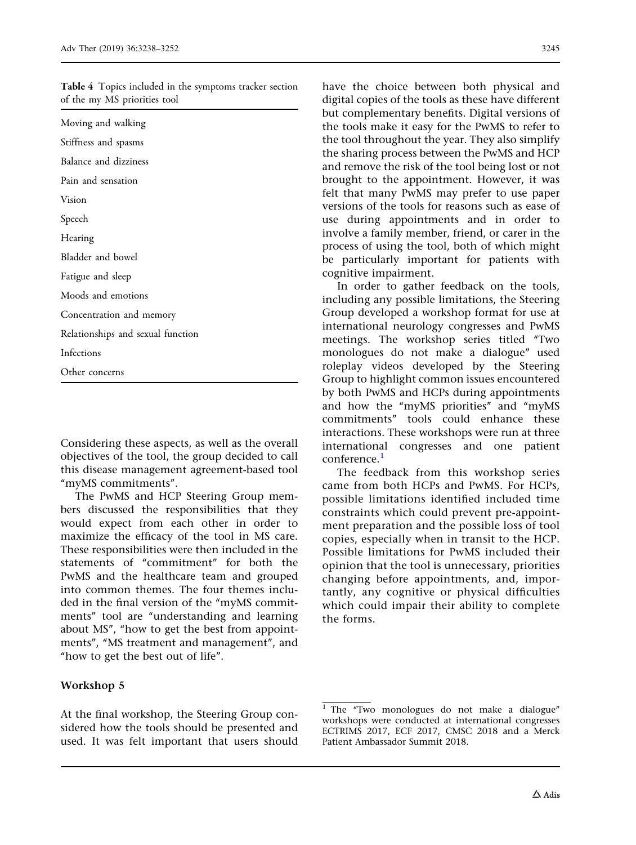| Moving and walking                |
|-----------------------------------|
| Stiffness and spasms              |
| Balance and dizziness             |
| Pain and sensation                |
| Vision                            |
| Speech                            |
| Hearing                           |
| Bladder and bowel                 |
| Fatigue and sleep                 |
| Moods and emotions                |
| Concentration and memory          |
| Relationships and sexual function |
| Infections                        |
| Other concerns                    |
|                                   |

<span id="page-7-0"></span>Table 4 Topics included in the symptoms tracker section of the my MS priorities tool

Considering these aspects, as well as the overall objectives of the tool, the group decided to call this disease management agreement-based tool ''myMS commitments''.

The PwMS and HCP Steering Group members discussed the responsibilities that they would expect from each other in order to maximize the efficacy of the tool in MS care. These responsibilities were then included in the statements of ''commitment'' for both the PwMS and the healthcare team and grouped into common themes. The four themes included in the final version of the ''myMS commitments'' tool are ''understanding and learning about MS", "how to get the best from appointments'', ''MS treatment and management'', and ''how to get the best out of life''.

#### Workshop 5

At the final workshop, the Steering Group considered how the tools should be presented and used. It was felt important that users should have the choice between both physical and digital copies of the tools as these have different but complementary benefits. Digital versions of the tools make it easy for the PwMS to refer to the tool throughout the year. They also simplify the sharing process between the PwMS and HCP and remove the risk of the tool being lost or not brought to the appointment. However, it was felt that many PwMS may prefer to use paper versions of the tools for reasons such as ease of use during appointments and in order to involve a family member, friend, or carer in the process of using the tool, both of which might be particularly important for patients with cognitive impairment.

In order to gather feedback on the tools, including any possible limitations, the Steering Group developed a workshop format for use at international neurology congresses and PwMS meetings. The workshop series titled ''Two monologues do not make a dialogue'' used roleplay videos developed by the Steering Group to highlight common issues encountered by both PwMS and HCPs during appointments and how the ''myMS priorities'' and ''myMS commitments'' tools could enhance these interactions. These workshops were run at three international congresses and one patient conference.1

The feedback from this workshop series came from both HCPs and PwMS. For HCPs, possible limitations identified included time constraints which could prevent pre-appointment preparation and the possible loss of tool copies, especially when in transit to the HCP. Possible limitations for PwMS included their opinion that the tool is unnecessary, priorities changing before appointments, and, importantly, any cognitive or physical difficulties which could impair their ability to complete the forms.

<sup>&</sup>lt;sup>1</sup> The "Two monologues do not make a dialogue" workshops were conducted at international congresses ECTRIMS 2017, ECF 2017, CMSC 2018 and a Merck Patient Ambassador Summit 2018.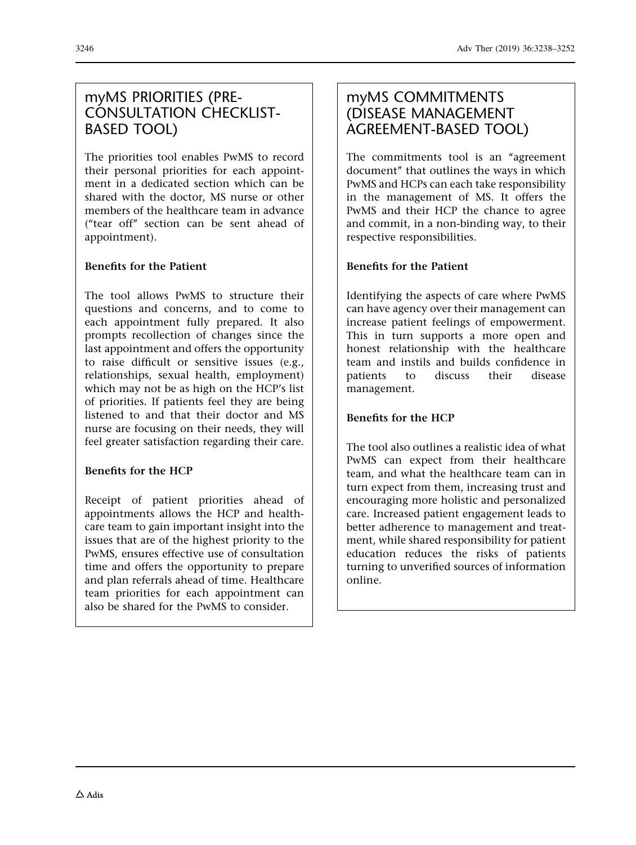## myMS PRIORITIES (PRE-CONSULTATION CHECKLIST-BASED TOOL)

The priorities tool enables PwMS to record their personal priorities for each appointment in a dedicated section which can be shared with the doctor, MS nurse or other members of the healthcare team in advance (''tear off'' section can be sent ahead of appointment).

### Benefits for the Patient

The tool allows PwMS to structure their questions and concerns, and to come to each appointment fully prepared. It also prompts recollection of changes since the last appointment and offers the opportunity to raise difficult or sensitive issues (e.g., relationships, sexual health, employment) which may not be as high on the HCP's list of priorities. If patients feel they are being listened to and that their doctor and MS nurse are focusing on their needs, they will feel greater satisfaction regarding their care.

### Benefits for the HCP

Receipt of patient priorities ahead of appointments allows the HCP and healthcare team to gain important insight into the issues that are of the highest priority to the PwMS, ensures effective use of consultation time and offers the opportunity to prepare and plan referrals ahead of time. Healthcare team priorities for each appointment can also be shared for the PwMS to consider.

## myMS COMMITMENTS (DISEASE MANAGEMENT AGREEMENT-BASED TOOL)

The commitments tool is an "agreement" document'' that outlines the ways in which PwMS and HCPs can each take responsibility in the management of MS. It offers the PwMS and their HCP the chance to agree and commit, in a non-binding way, to their respective responsibilities.

### Benefits for the Patient

Identifying the aspects of care where PwMS can have agency over their management can increase patient feelings of empowerment. This in turn supports a more open and honest relationship with the healthcare team and instils and builds confidence in patients to discuss their disease management.

### Benefits for the HCP

The tool also outlines a realistic idea of what PwMS can expect from their healthcare team, and what the healthcare team can in turn expect from them, increasing trust and encouraging more holistic and personalized care. Increased patient engagement leads to better adherence to management and treatment, while shared responsibility for patient education reduces the risks of patients turning to unverified sources of information online.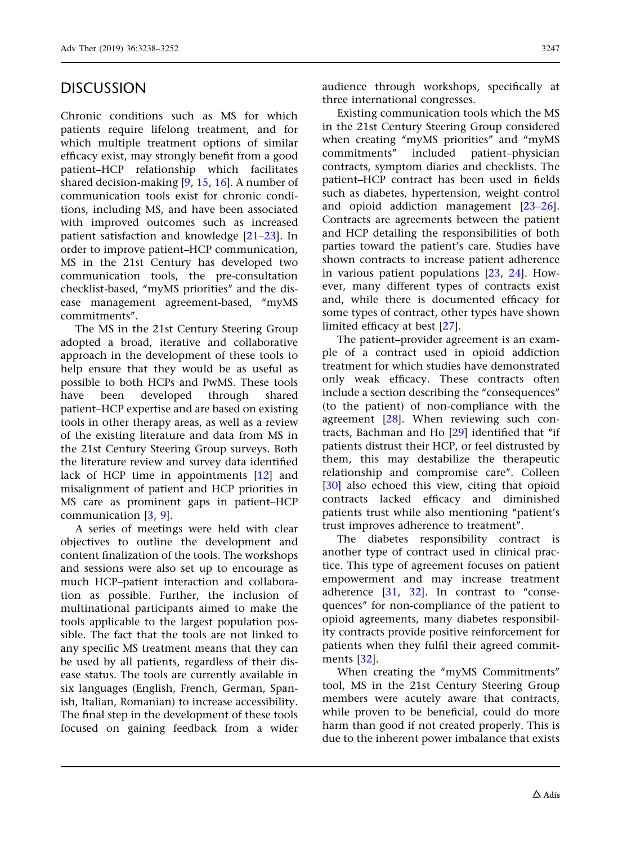Chronic conditions such as MS for which patients require lifelong treatment, and for which multiple treatment options of similar efficacy exist, may strongly benefit from a good patient–HCP relationship which facilitates shared decision-making [[9,](#page-13-0) [15](#page-13-0), [16](#page-13-0)]. A number of communication tools exist for chronic conditions, including MS, and have been associated with improved outcomes such as increased patient satisfaction and knowledge [[21–23\]](#page-13-0). In order to improve patient–HCP communication, MS in the 21st Century has developed two communication tools, the pre-consultation checklist-based, ''myMS priorities'' and the disease management agreement-based, ''myMS commitments''.

The MS in the 21st Century Steering Group adopted a broad, iterative and collaborative approach in the development of these tools to help ensure that they would be as useful as possible to both HCPs and PwMS. These tools have been developed through shared patient–HCP expertise and are based on existing tools in other therapy areas, as well as a review of the existing literature and data from MS in the 21st Century Steering Group surveys. Both the literature review and survey data identified lack of HCP time in appointments [[12](#page-13-0)] and misalignment of patient and HCP priorities in MS care as prominent gaps in patient–HCP communication [\[3,](#page-12-0) [9\]](#page-13-0).

A series of meetings were held with clear objectives to outline the development and content finalization of the tools. The workshops and sessions were also set up to encourage as much HCP–patient interaction and collaboration as possible. Further, the inclusion of multinational participants aimed to make the tools applicable to the largest population possible. The fact that the tools are not linked to any specific MS treatment means that they can be used by all patients, regardless of their disease status. The tools are currently available in six languages (English, French, German, Spanish, Italian, Romanian) to increase accessibility. The final step in the development of these tools focused on gaining feedback from a wider

audience through workshops, specifically at three international congresses.

Existing communication tools which the MS in the 21st Century Steering Group considered when creating "myMS priorities" and "myMS commitments'' included patient–physician contracts, symptom diaries and checklists. The patient–HCP contract has been used in fields such as diabetes, hypertension, weight control and opioid addiction management [\[23–26](#page-13-0)]. Contracts are agreements between the patient and HCP detailing the responsibilities of both parties toward the patient's care. Studies have shown contracts to increase patient adherence in various patient populations [\[23,](#page-13-0) [24](#page-13-0)]. However, many different types of contracts exist and, while there is documented efficacy for some types of contract, other types have shown limited efficacy at best [[27\]](#page-13-0).

The patient–provider agreement is an example of a contract used in opioid addiction treatment for which studies have demonstrated only weak efficacy. These contracts often include a section describing the ''consequences'' (to the patient) of non-compliance with the agreement [[28\]](#page-14-0). When reviewing such contracts, Bachman and Ho [[29](#page-14-0)] identified that ''if patients distrust their HCP, or feel distrusted by them, this may destabilize the therapeutic relationship and compromise care''. Colleen [\[30\]](#page-14-0) also echoed this view, citing that opioid contracts lacked efficacy and diminished patients trust while also mentioning ''patient's trust improves adherence to treatment''.

The diabetes responsibility contract is another type of contract used in clinical practice. This type of agreement focuses on patient empowerment and may increase treatment adherence  $[31, 32]$  $[31, 32]$  $[31, 32]$ . In contrast to "consequences'' for non-compliance of the patient to opioid agreements, many diabetes responsibility contracts provide positive reinforcement for patients when they fulfil their agreed commitments [\[32\]](#page-14-0).

When creating the ''myMS Commitments'' tool, MS in the 21st Century Steering Group members were acutely aware that contracts, while proven to be beneficial, could do more harm than good if not created properly. This is due to the inherent power imbalance that exists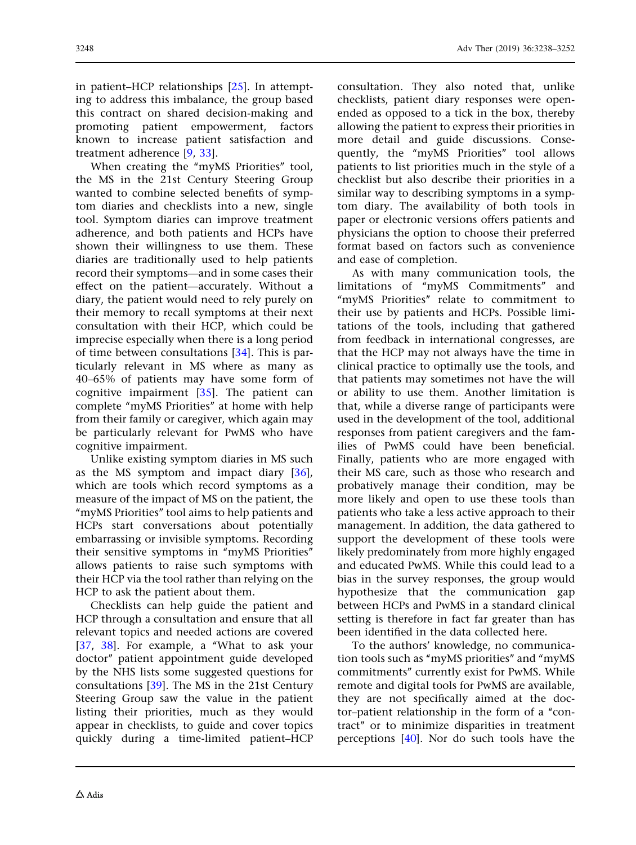in patient–HCP relationships [[25](#page-13-0)]. In attempting to address this imbalance, the group based this contract on shared decision-making and promoting patient empowerment, factors known to increase patient satisfaction and treatment adherence [[9,](#page-13-0) [33](#page-14-0)].

When creating the "myMS Priorities" tool, the MS in the 21st Century Steering Group wanted to combine selected benefits of symptom diaries and checklists into a new, single tool. Symptom diaries can improve treatment adherence, and both patients and HCPs have shown their willingness to use them. These diaries are traditionally used to help patients record their symptoms—and in some cases their effect on the patient—accurately. Without a diary, the patient would need to rely purely on their memory to recall symptoms at their next consultation with their HCP, which could be imprecise especially when there is a long period of time between consultations  $[34]$ . This is particularly relevant in MS where as many as 40–65% of patients may have some form of cognitive impairment [\[35](#page-14-0)]. The patient can complete ''myMS Priorities'' at home with help from their family or caregiver, which again may be particularly relevant for PwMS who have cognitive impairment.

Unlike existing symptom diaries in MS such as the MS symptom and impact diary [[36](#page-14-0)], which are tools which record symptoms as a measure of the impact of MS on the patient, the ''myMS Priorities'' tool aims to help patients and HCPs start conversations about potentially embarrassing or invisible symptoms. Recording their sensitive symptoms in ''myMS Priorities'' allows patients to raise such symptoms with their HCP via the tool rather than relying on the HCP to ask the patient about them.

Checklists can help guide the patient and HCP through a consultation and ensure that all relevant topics and needed actions are covered [\[37,](#page-14-0) [38](#page-14-0)]. For example, a "What to ask your doctor'' patient appointment guide developed by the NHS lists some suggested questions for consultations [[39\]](#page-14-0). The MS in the 21st Century Steering Group saw the value in the patient listing their priorities, much as they would appear in checklists, to guide and cover topics quickly during a time-limited patient–HCP

consultation. They also noted that, unlike checklists, patient diary responses were openended as opposed to a tick in the box, thereby allowing the patient to express their priorities in more detail and guide discussions. Consequently, the ''myMS Priorities'' tool allows patients to list priorities much in the style of a checklist but also describe their priorities in a similar way to describing symptoms in a symptom diary. The availability of both tools in paper or electronic versions offers patients and physicians the option to choose their preferred format based on factors such as convenience and ease of completion.

As with many communication tools, the limitations of ''myMS Commitments'' and ''myMS Priorities'' relate to commitment to their use by patients and HCPs. Possible limitations of the tools, including that gathered from feedback in international congresses, are that the HCP may not always have the time in clinical practice to optimally use the tools, and that patients may sometimes not have the will or ability to use them. Another limitation is that, while a diverse range of participants were used in the development of the tool, additional responses from patient caregivers and the families of PwMS could have been beneficial. Finally, patients who are more engaged with their MS care, such as those who research and probatively manage their condition, may be more likely and open to use these tools than patients who take a less active approach to their management. In addition, the data gathered to support the development of these tools were likely predominately from more highly engaged and educated PwMS. While this could lead to a bias in the survey responses, the group would hypothesize that the communication gap between HCPs and PwMS in a standard clinical setting is therefore in fact far greater than has been identified in the data collected here.

To the authors' knowledge, no communication tools such as ''myMS priorities'' and ''myMS commitments'' currently exist for PwMS. While remote and digital tools for PwMS are available, they are not specifically aimed at the doctor-patient relationship in the form of a "contract'' or to minimize disparities in treatment perceptions [[40](#page-14-0)]. Nor do such tools have the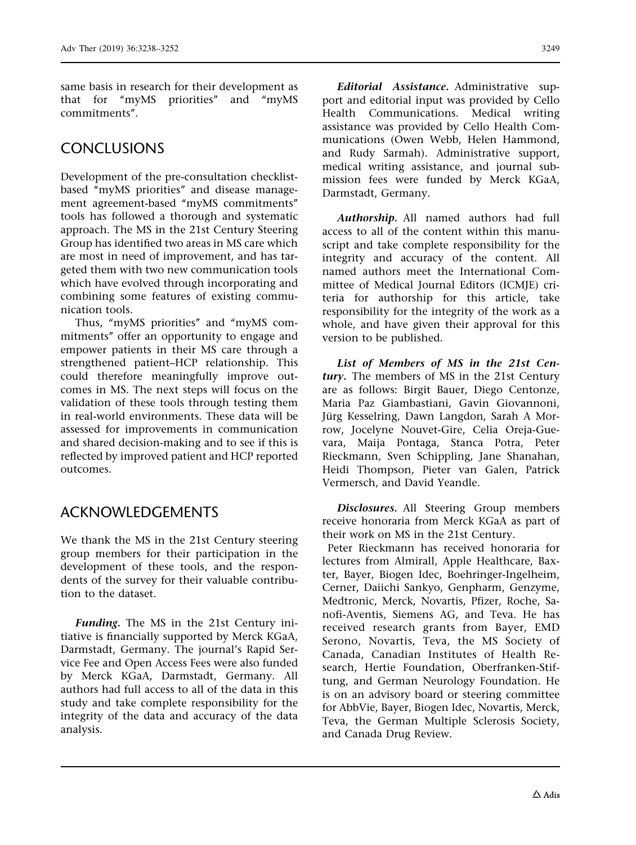same basis in research for their development as that for ''myMS priorities'' and ''myMS commitments''.

## CONCLUSIONS

Development of the pre-consultation checklistbased ''myMS priorities'' and disease management agreement-based ''myMS commitments'' tools has followed a thorough and systematic approach. The MS in the 21st Century Steering Group has identified two areas in MS care which are most in need of improvement, and has targeted them with two new communication tools which have evolved through incorporating and combining some features of existing communication tools.

Thus, "myMS priorities" and "myMS commitments'' offer an opportunity to engage and empower patients in their MS care through a strengthened patient–HCP relationship. This could therefore meaningfully improve outcomes in MS. The next steps will focus on the validation of these tools through testing them in real-world environments. These data will be assessed for improvements in communication and shared decision-making and to see if this is reflected by improved patient and HCP reported outcomes.

## ACKNOWLEDGEMENTS

We thank the MS in the 21st Century steering group members for their participation in the development of these tools, and the respondents of the survey for their valuable contribution to the dataset.

Funding. The MS in the 21st Century initiative is financially supported by Merck KGaA, Darmstadt, Germany. The journal's Rapid Service Fee and Open Access Fees were also funded by Merck KGaA, Darmstadt, Germany. All authors had full access to all of the data in this study and take complete responsibility for the integrity of the data and accuracy of the data analysis.

Editorial Assistance. Administrative support and editorial input was provided by Cello Health Communications. Medical writing assistance was provided by Cello Health Communications (Owen Webb, Helen Hammond, and Rudy Sarmah). Administrative support, medical writing assistance, and journal submission fees were funded by Merck KGaA, Darmstadt, Germany.

Authorship. All named authors had full access to all of the content within this manuscript and take complete responsibility for the integrity and accuracy of the content. All named authors meet the International Committee of Medical Journal Editors (ICMJE) criteria for authorship for this article, take responsibility for the integrity of the work as a whole, and have given their approval for this version to be published.

List of Members of MS in the 21st Century. The members of MS in the 21st Century are as follows: Birgit Bauer, Diego Centonze, Maria Paz Giambastiani, Gavin Giovannoni, Jürg Kesselring, Dawn Langdon, Sarah A Morrow, Jocelyne Nouvet-Gire, Celia Oreja-Guevara, Maija Pontaga, Stanca Potra, Peter Rieckmann, Sven Schippling, Jane Shanahan, Heidi Thompson, Pieter van Galen, Patrick Vermersch, and David Yeandle.

Disclosures. All Steering Group members receive honoraria from Merck KGaA as part of their work on MS in the 21st Century.

Peter Rieckmann has received honoraria for lectures from Almirall, Apple Healthcare, Baxter, Bayer, Biogen Idec, Boehringer-Ingelheim, Cerner, Daiichi Sankyo, Genpharm, Genzyme, Medtronic, Merck, Novartis, Pfizer, Roche, Sanofi-Aventis, Siemens AG, and Teva. He has received research grants from Bayer, EMD Serono, Novartis, Teva, the MS Society of Canada, Canadian Institutes of Health Research, Hertie Foundation, Oberfranken-Stiftung, and German Neurology Foundation. He is on an advisory board or steering committee for AbbVie, Bayer, Biogen Idec, Novartis, Merck, Teva, the German Multiple Sclerosis Society, and Canada Drug Review.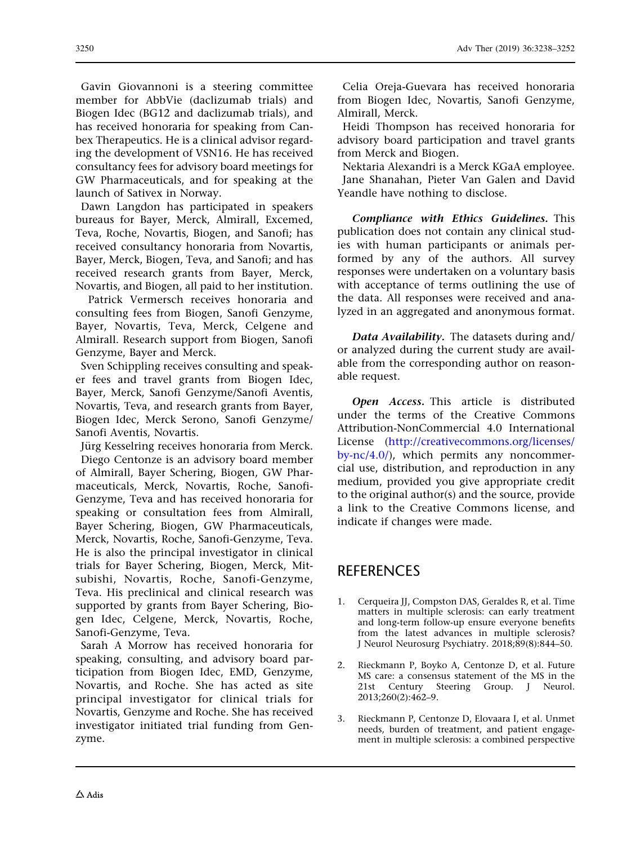<span id="page-12-0"></span>Gavin Giovannoni is a steering committee member for AbbVie (daclizumab trials) and Biogen Idec (BG12 and daclizumab trials), and has received honoraria for speaking from Canbex Therapeutics. He is a clinical advisor regarding the development of VSN16. He has received consultancy fees for advisory board meetings for GW Pharmaceuticals, and for speaking at the launch of Sativex in Norway.

Dawn Langdon has participated in speakers bureaus for Bayer, Merck, Almirall, Excemed, Teva, Roche, Novartis, Biogen, and Sanofi; has received consultancy honoraria from Novartis, Bayer, Merck, Biogen, Teva, and Sanofi; and has received research grants from Bayer, Merck, Novartis, and Biogen, all paid to her institution.

Patrick Vermersch receives honoraria and consulting fees from Biogen, Sanofi Genzyme, Bayer, Novartis, Teva, Merck, Celgene and Almirall. Research support from Biogen, Sanofi Genzyme, Bayer and Merck.

Sven Schippling receives consulting and speaker fees and travel grants from Biogen Idec, Bayer, Merck, Sanofi Genzyme/Sanofi Aventis, Novartis, Teva, and research grants from Bayer, Biogen Idec, Merck Serono, Sanofi Genzyme/ Sanofi Aventis, Novartis.

Jürg Kesselring receives honoraria from Merck. Diego Centonze is an advisory board member of Almirall, Bayer Schering, Biogen, GW Pharmaceuticals, Merck, Novartis, Roche, Sanofi-Genzyme, Teva and has received honoraria for speaking or consultation fees from Almirall, Bayer Schering, Biogen, GW Pharmaceuticals, Merck, Novartis, Roche, Sanofi-Genzyme, Teva. He is also the principal investigator in clinical trials for Bayer Schering, Biogen, Merck, Mitsubishi, Novartis, Roche, Sanofi-Genzyme, Teva. His preclinical and clinical research was supported by grants from Bayer Schering, Biogen Idec, Celgene, Merck, Novartis, Roche, Sanofi-Genzyme, Teva.

Sarah A Morrow has received honoraria for speaking, consulting, and advisory board participation from Biogen Idec, EMD, Genzyme, Novartis, and Roche. She has acted as site principal investigator for clinical trials for Novartis, Genzyme and Roche. She has received investigator initiated trial funding from Genzyme.

Celia Oreja-Guevara has received honoraria from Biogen Idec, Novartis, Sanofi Genzyme, Almirall, Merck.

Heidi Thompson has received honoraria for advisory board participation and travel grants from Merck and Biogen.

Nektaria Alexandri is a Merck KGaA employee. Jane Shanahan, Pieter Van Galen and David Yeandle have nothing to disclose.

Compliance with Ethics Guidelines. This publication does not contain any clinical studies with human participants or animals performed by any of the authors. All survey responses were undertaken on a voluntary basis with acceptance of terms outlining the use of the data. All responses were received and analyzed in an aggregated and anonymous format.

Data Availability. The datasets during and/ or analyzed during the current study are available from the corresponding author on reasonable request.

Open Access. This article is distributed under the terms of the Creative Commons Attribution-NonCommercial 4.0 International License ([http://creativecommons.org/licenses/](http://creativecommons.org/licenses/by-nc/4.0/) by- $\frac{n\epsilon}{4.0}$ , which permits any noncommercial use, distribution, and reproduction in any medium, provided you give appropriate credit to the original author(s) and the source, provide a link to the Creative Commons license, and indicate if changes were made.

## **REFERENCES**

- 1. Cerqueira JJ, Compston DAS, Geraldes R, et al. Time matters in multiple sclerosis: can early treatment and long-term follow-up ensure everyone benefits from the latest advances in multiple sclerosis? J Neurol Neurosurg Psychiatry. 2018;89(8):844–50.
- 2. Rieckmann P, Boyko A, Centonze D, et al. Future MS care: a consensus statement of the MS in the 21st Century Steering Group. J Neurol. 2013;260(2):462–9.
- 3. Rieckmann P, Centonze D, Elovaara I, et al. Unmet needs, burden of treatment, and patient engagement in multiple sclerosis: a combined perspective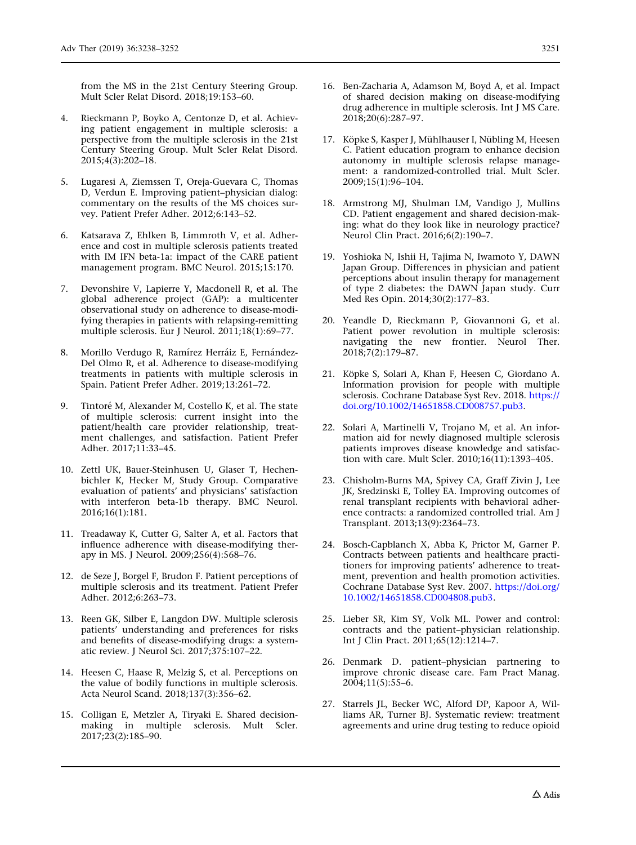<span id="page-13-0"></span>from the MS in the 21st Century Steering Group. Mult Scler Relat Disord. 2018;19:153–60.

- 4. Rieckmann P, Boyko A, Centonze D, et al. Achieving patient engagement in multiple sclerosis: a perspective from the multiple sclerosis in the 21st Century Steering Group. Mult Scler Relat Disord. 2015;4(3):202–18.
- 5. Lugaresi A, Ziemssen T, Oreja-Guevara C, Thomas D, Verdun E. Improving patient–physician dialog: commentary on the results of the MS choices survey. Patient Prefer Adher. 2012;6:143–52.
- 6. Katsarava Z, Ehlken B, Limmroth V, et al. Adherence and cost in multiple sclerosis patients treated with IM IFN beta-1a: impact of the CARE patient management program. BMC Neurol. 2015;15:170.
- 7. Devonshire V, Lapierre Y, Macdonell R, et al. The global adherence project (GAP): a multicenter observational study on adherence to disease-modifying therapies in patients with relapsing-remitting multiple sclerosis. Eur J Neurol. 2011;18(1):69–77.
- 8. Morillo Verdugo R, Ramírez Herráiz E, Fernández-Del Olmo R, et al. Adherence to disease-modifying treatments in patients with multiple sclerosis in Spain. Patient Prefer Adher. 2019;13:261–72.
- 9. Tintoré M, Alexander M, Costello K, et al. The state of multiple sclerosis: current insight into the patient/health care provider relationship, treatment challenges, and satisfaction. Patient Prefer Adher. 2017;11:33–45.
- 10. Zettl UK, Bauer-Steinhusen U, Glaser T, Hechenbichler K, Hecker M, Study Group. Comparative evaluation of patients' and physicians' satisfaction with interferon beta-1b therapy. BMC Neurol. 2016;16(1):181.
- 11. Treadaway K, Cutter G, Salter A, et al. Factors that influence adherence with disease-modifying therapy in MS. J Neurol. 2009;256(4):568–76.
- 12. de Seze J, Borgel F, Brudon F. Patient perceptions of multiple sclerosis and its treatment. Patient Prefer Adher. 2012;6:263–73.
- 13. Reen GK, Silber E, Langdon DW. Multiple sclerosis patients' understanding and preferences for risks and benefits of disease-modifying drugs: a systematic review. J Neurol Sci. 2017;375:107–22.
- 14. Heesen C, Haase R, Melzig S, et al. Perceptions on the value of bodily functions in multiple sclerosis. Acta Neurol Scand. 2018;137(3):356–62.
- 15. Colligan E, Metzler A, Tiryaki E. Shared decisionmaking in multiple sclerosis. Mult Scler. 2017;23(2):185–90.
- 16. Ben-Zacharia A, Adamson M, Boyd A, et al. Impact of shared decision making on disease-modifying drug adherence in multiple sclerosis. Int J MS Care. 2018;20(6):287–97.
- 17. Köpke S, Kasper J, Mühlhauser I, Nübling M, Heesen C. Patient education program to enhance decision autonomy in multiple sclerosis relapse management: a randomized-controlled trial. Mult Scler. 2009;15(1):96–104.
- 18. Armstrong MJ, Shulman LM, Vandigo J, Mullins CD. Patient engagement and shared decision-making: what do they look like in neurology practice? Neurol Clin Pract. 2016;6(2):190–7.
- 19. Yoshioka N, Ishii H, Tajima N, Iwamoto Y, DAWN Japan Group. Differences in physician and patient perceptions about insulin therapy for management of type 2 diabetes: the DAWN Japan study. Curr Med Res Opin. 2014;30(2):177–83.
- 20. Yeandle D, Rieckmann P, Giovannoni G, et al. Patient power revolution in multiple sclerosis: navigating the new frontier. Neurol Ther. 2018;7(2):179–87.
- 21. Köpke S, Solari A, Khan F, Heesen C, Giordano A. Information provision for people with multiple sclerosis. Cochrane Database Syst Rev. 2018. [https://](https://doi.org/10.1002/14651858.CD008757.pub3) [doi.org/10.1002/14651858.CD008757.pub3](https://doi.org/10.1002/14651858.CD008757.pub3).
- 22. Solari A, Martinelli V, Trojano M, et al. An information aid for newly diagnosed multiple sclerosis patients improves disease knowledge and satisfaction with care. Mult Scler. 2010;16(11):1393–405.
- 23. Chisholm-Burns MA, Spivey CA, Graff Zivin J, Lee JK, Sredzinski E, Tolley EA. Improving outcomes of renal transplant recipients with behavioral adherence contracts: a randomized controlled trial. Am J Transplant. 2013;13(9):2364–73.
- 24. Bosch-Capblanch X, Abba K, Prictor M, Garner P. Contracts between patients and healthcare practitioners for improving patients' adherence to treatment, prevention and health promotion activities. Cochrane Database Syst Rev. 2007. [https://doi.org/](https://doi.org/10.1002/14651858.CD004808.pub3) [10.1002/14651858.CD004808.pub3.](https://doi.org/10.1002/14651858.CD004808.pub3)
- 25. Lieber SR, Kim SY, Volk ML. Power and control: contracts and the patient–physician relationship. Int J Clin Pract. 2011;65(12):1214–7.
- 26. Denmark D. patient–physician partnering to improve chronic disease care. Fam Pract Manag. 2004;11(5):55–6.
- 27. Starrels JL, Becker WC, Alford DP, Kapoor A, Williams AR, Turner BJ. Systematic review: treatment agreements and urine drug testing to reduce opioid